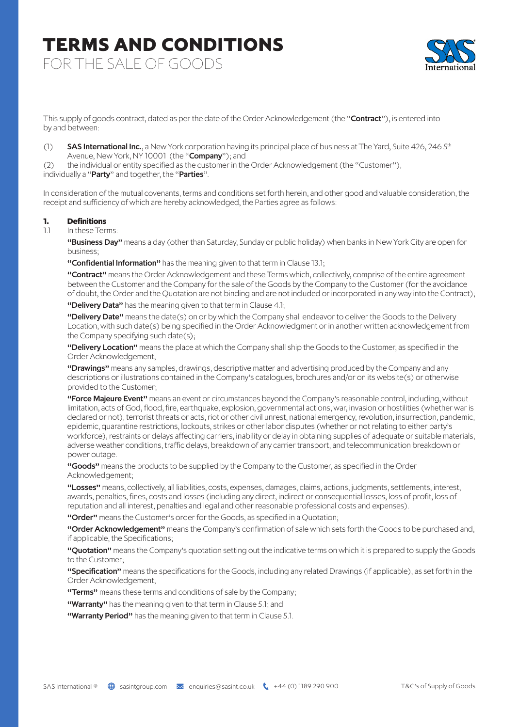### **TERMS AND CONDITIONS TERMS AND CONDITIONS** FOR THE SALE OF GOODS

This supply of goods contract, dated as per the date of the Order Acknowledgement (the "Contract"), is entered into by and between:

(1) SAS International Inc., a New York corporation having its principal place of business at The Yard, Suite 426, 246 5<sup>th</sup> Avenue, New York, NY 10001 (the "Company"); and

(2) the individual or entity specified as the customer in the Order Acknowledgement (the "Customer"), individually a "Party" and together, the "Parties".

In consideration of the mutual covenants, terms and conditions set forth herein, and other good and valuable consideration, the receipt and sufficiency of which are hereby acknowledged, the Parties agree as follows:

#### **1. Definitions**

1.1 In these Terms:

"Business Day" means a day (other than Saturday, Sunday or public holiday) when banks in New York City are open for business;

"Confidential Information" has the meaning given to that term in Clause 13.1;

"Contract" means the Order Acknowledgement and these Terms which, collectively, comprise of the entire agreement between the Customer and the Company for the sale of the Goods by the Company to the Customer (for the avoidance of doubt, the Order and the Quotation are not binding and are not included or incorporated in any way into the Contract);

"Delivery Data" has the meaning given to that term in Clause 4.1;

"Delivery Date" means the date(s) on or by which the Company shall endeavor to deliver the Goods to the Delivery Location, with such date(s) being specified in the Order Acknowledgment or in another written acknowledgement from the Company specifying such date(s);

"Delivery Location" means the place at which the Company shall ship the Goods to the Customer, as specified in the Order Acknowledgement;

"Drawings" means any samples, drawings, descriptive matter and advertising produced by the Company and any descriptions or illustrations contained in the Company's catalogues, brochures and/or on its website(s) or otherwise provided to the Customer;

"Force Majeure Event" means an event or circumstances beyond the Company's reasonable control, including, without limitation, acts of God, flood, fire, earthquake, explosion, governmental actions, war, invasion or hostilities (whether war is declared or not), terrorist threats or acts, riot or other civil unrest, national emergency, revolution, insurrection, pandemic, epidemic, quarantine restrictions, lockouts, strikes or other labor disputes (whether or not relating to either party's workforce), restraints or delays affecting carriers, inability or delay in obtaining supplies of adequate or suitable materials, adverse weather conditions, traffic delays, breakdown of any carrier transport, and telecommunication breakdown or power outage.

"Goods" means the products to be supplied by the Company to the Customer, as specified in the Order Acknowledgement;

"Losses" means, collectively, all liabilities, costs, expenses, damages, claims, actions, judgments, settlements, interest, awards, penalties, fines, costs and losses (including any direct, indirect or consequential losses, loss of profit, loss of reputation and all interest, penalties and legal and other reasonable professional costs and expenses).

"Order" means the Customer's order for the Goods, as specified in a Quotation;

"Order Acknowledgement" means the Company's confirmation of sale which sets forth the Goods to be purchased and, if applicable, the Specifications;

"Quotation" means the Company's quotation setting out the indicative terms on which it is prepared to supply the Goods to the Customer;

"Specification" means the specifications for the Goods, including any related Drawings (if applicable), as set forth in the Order Acknowledgement;

"Terms" means these terms and conditions of sale by the Company;

"Warranty" has the meaning given to that term in Clause 5.1; and

"Warranty Period" has the meaning given to that term in Clause 5.1.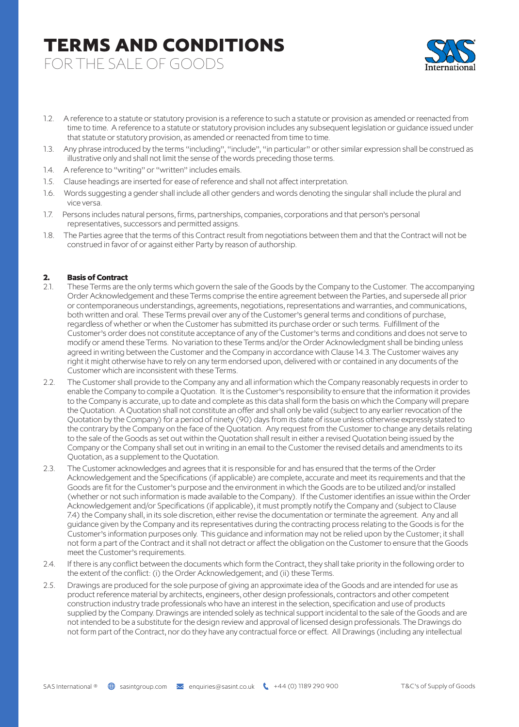FOR THE SALE OF GOODS



- 1.2. A reference to a statute or statutory provision is a reference to such a statute or provision as amended or reenacted from time to time. A reference to a statute or statutory provision includes any subsequent legislation or guidance issued under that statute or statutory provision, as amended or reenacted from time to time.
- 1.3. Any phrase introduced by the terms "including", "include", "in particular" or other similar expression shall be construed as illustrative only and shall not limit the sense of the words preceding those terms.
- 1.4. A reference to "writing" or "written" includes emails.
- 1.5. Clause headings are inserted for ease of reference and shall not affect interpretation.
- 1.6. Words suggesting a gender shall include all other genders and words denoting the singular shall include the plural and vice versa.
- 1.7. Persons includes natural persons, firms, partnerships, companies, corporations and that person's personal representatives, successors and permitted assigns.
- 1.8. The Parties agree that the terms of this Contract result from negotiations between them and that the Contract will not be construed in favor of or against either Party by reason of authorship.

### **2. Basis of Contract**

- 2.1. These Terms are the only terms which govern the sale of the Goods by the Company to the Customer. The accompanying Order Acknowledgement and these Terms comprise the entire agreement between the Parties, and supersede all prior or contemporaneous understandings, agreements, negotiations, representations and warranties, and communications, both written and oral. These Terms prevail over any of the Customer's general terms and conditions of purchase, regardless of whether or when the Customer has submitted its purchase order or such terms. Fulfillment of the Customer's order does not constitute acceptance of any of the Customer's terms and conditions and does not serve to modify or amend these Terms. No variation to these Terms and/or the Order Acknowledgment shall be binding unless agreed in writing between the Customer and the Company in accordance with Clause 14.3. The Customer waives any right it might otherwise have to rely on any term endorsed upon, delivered with or contained in any documents of the Customer which are inconsistent with these Terms.
- 2.2. The Customer shall provide to the Company any and all information which the Company reasonably requests in order to enable the Company to compile a Quotation. It is the Customer's responsibility to ensure that the information it provides to the Company is accurate, up to date and complete as this data shall form the basis on which the Company will prepare the Quotation. A Quotation shall not constitute an offer and shall only be valid (subject to any earlier revocation of the Quotation by the Company) for a period of ninety (90) days from its date of issue unless otherwise expressly stated to the contrary by the Company on the face of the Quotation. Any request from the Customer to change any details relating to the sale of the Goods as set out within the Quotation shall result in either a revised Quotation being issued by the Company or the Company shall set out in writing in an email to the Customer the revised details and amendments to its Quotation, as a supplement to the Quotation.
- 2.3. The Customer acknowledges and agrees that it is responsible for and has ensured that the terms of the Order Acknowledgement and the Specifications (if applicable) are complete, accurate and meet its requirements and that the Goods are fit for the Customer's purpose and the environment in which the Goods are to be utilized and/or installed (whether or not such information is made available to the Company). If the Customer identifies an issue within the Order Acknowledgement and/or Specifications (if applicable), it must promptly notify the Company and (subject to Clause 7.4) the Company shall, in its sole discretion, either revise the documentation or terminate the agreement. Any and all guidance given by the Company and its representatives during the contracting process relating to the Goods is for the Customer's information purposes only. This guidance and information may not be relied upon by the Customer; it shall not form a part of the Contract and it shall not detract or affect the obligation on the Customer to ensure that the Goods meet the Customer's requirements.
- 2.4. If there is any conflict between the documents which form the Contract, they shall take priority in the following order to the extent of the conflict: (i) the Order Acknowledgement; and (ii) these Terms.
- 2.5. Drawings are produced for the sole purpose of giving an approximate idea of the Goods and are intended for use as product reference material by architects, engineers, other design professionals, contractors and other competent construction industry trade professionals who have an interest in the selection, specification and use of products supplied by the Company. Drawings are intended solely as technical support incidental to the sale of the Goods and are not intended to be a substitute for the design review and approval of licensed design professionals. The Drawings do not form part of the Contract, nor do they have any contractual force or effect. All Drawings (including any intellectual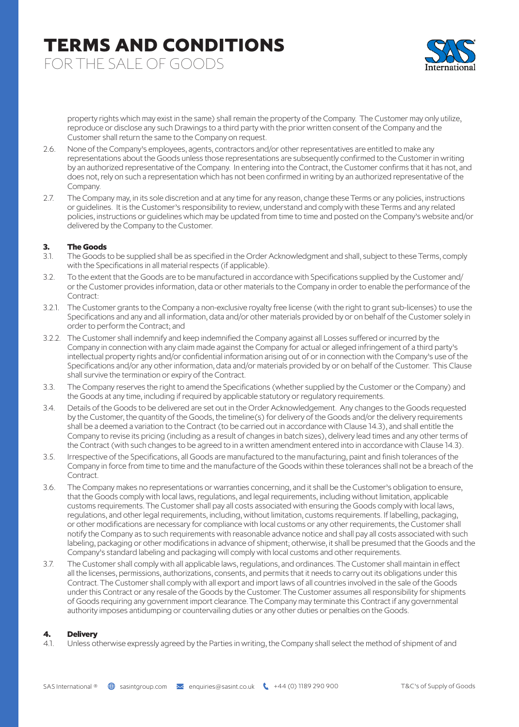FOR THE SALE OF GOODS



property rights which may exist in the same) shall remain the property of the Company. The Customer may only utilize, reproduce or disclose any such Drawings to a third party with the prior written consent of the Company and the Customer shall return the same to the Company on request.

- 2.6. None of the Company's employees, agents, contractors and/or other representatives are entitled to make any representations about the Goods unless those representations are subsequently confirmed to the Customer in writing by an authorized representative of the Company. In entering into the Contract, the Customer confirms that it has not, and does not, rely on such a representation which has not been confirmed in writing by an authorized representative of the Company.
- 2.7. The Company may, in its sole discretion and at any time for any reason, change these Terms or any policies, instructions or guidelines. It is the Customer's responsibility to review, understand and comply with these Terms and any related policies, instructions or guidelines which may be updated from time to time and posted on the Company's website and/or delivered by the Company to the Customer.

### **3. The Goods**

- 3.1. The Goods to be supplied shall be as specified in the Order Acknowledgment and shall, subject to these Terms, comply with the Specifications in all material respects (if applicable).
- 3.2. To the extent that the Goods are to be manufactured in accordance with Specifications supplied by the Customer and/ or the Customer provides information, data or other materials to the Company in order to enable the performance of the Contract:
- 3.2.1. The Customer grants to the Company a non-exclusive royalty free license (with the right to grant sub-licenses) to use the Specifications and any and all information, data and/or other materials provided by or on behalf of the Customer solely in order to perform the Contract; and
- 3.2.2. The Customer shall indemnify and keep indemnified the Company against all Losses suffered or incurred by the Company in connection with any claim made against the Company for actual or alleged infringement of a third party's intellectual property rights and/or confidential information arising out of or in connection with the Company's use of the Specifications and/or any other information, data and/or materials provided by or on behalf of the Customer. This Clause shall survive the termination or expiry of the Contract.
- 3.3. The Company reserves the right to amend the Specifications (whether supplied by the Customer or the Company) and the Goods at any time, including if required by applicable statutory or regulatory requirements.
- 3.4. Details of the Goods to be delivered are set out in the Order Acknowledgement. Any changes to the Goods requested by the Customer, the quantity of the Goods, the timeline(s) for delivery of the Goods and/or the delivery requirements shall be a deemed a variation to the Contract (to be carried out in accordance with Clause 14.3), and shall entitle the Company to revise its pricing (including as a result of changes in batch sizes), delivery lead times and any other terms of the Contract (with such changes to be agreed to in a written amendment entered into in accordance with Clause 14.3).
- 3.5. Irrespective of the Specifications, all Goods are manufactured to the manufacturing, paint and finish tolerances of the Company in force from time to time and the manufacture of the Goods within these tolerances shall not be a breach of the Contract.
- 3.6. The Company makes no representations or warranties concerning, and it shall be the Customer's obligation to ensure, that the Goods comply with local laws, regulations, and legal requirements, including without limitation, applicable customs requirements. The Customer shall pay all costs associated with ensuring the Goods comply with local laws, regulations, and other legal requirements, including, without limitation, customs requirements. If labelling, packaging, or other modifications are necessary for compliance with local customs or any other requirements, the Customer shall notify the Company as to such requirements with reasonable advance notice and shall pay all costs associated with such labeling, packaging or other modifications in advance of shipment; otherwise, it shall be presumed that the Goods and the Company's standard labeling and packaging will comply with local customs and other requirements.
- 3.7. The Customer shall comply with all applicable laws, regulations, and ordinances. The Customer shall maintain in effect all the licenses, permissions, authorizations, consents, and permits that it needs to carry out its obligations under this Contract. The Customer shall comply with all export and import laws of all countries involved in the sale of the Goods under this Contract or any resale of the Goods by the Customer. The Customer assumes all responsibility for shipments of Goods requiring any government import clearance. The Company may terminate this Contract if any governmental authority imposes antidumping or countervailing duties or any other duties or penalties on the Goods.

#### **4. Delivery**

4.1. Unless otherwise expressly agreed by the Parties in writing, the Company shall select the method of shipment of and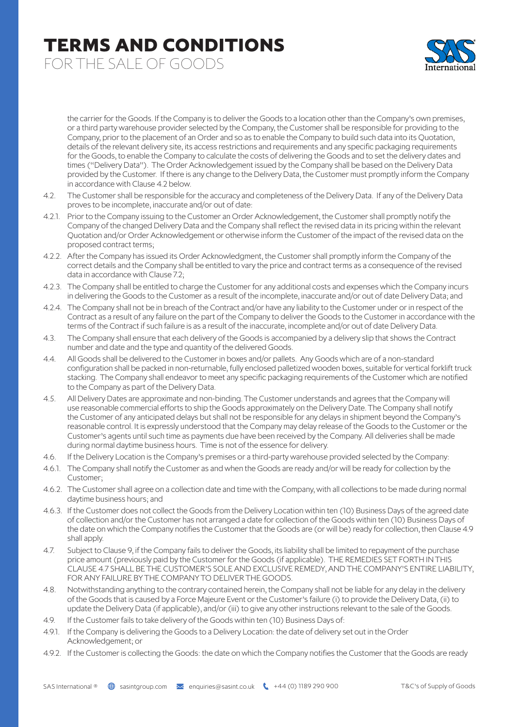FOR THE SALE OF GOODS



the carrier for the Goods. If the Company is to deliver the Goods to a location other than the Company's own premises, or a third party warehouse provider selected by the Company, the Customer shall be responsible for providing to the Company, prior to the placement of an Order and so as to enable the Company to build such data into its Quotation, details of the relevant delivery site, its access restrictions and requirements and any specific packaging requirements for the Goods, to enable the Company to calculate the costs of delivering the Goods and to set the delivery dates and times ("Delivery Data"). The Order Acknowledgement issued by the Company shall be based on the Delivery Data provided by the Customer. If there is any change to the Delivery Data, the Customer must promptly inform the Company in accordance with Clause 4.2 below.

- 4.2. The Customer shall be responsible for the accuracy and completeness of the Delivery Data. If any of the Delivery Data proves to be incomplete, inaccurate and/or out of date:
- 4.2.1. Prior to the Company issuing to the Customer an Order Acknowledgement, the Customer shall promptly notify the Company of the changed Delivery Data and the Company shall reflect the revised data in its pricing within the relevant Quotation and/or Order Acknowledgement or otherwise inform the Customer of the impact of the revised data on the proposed contract terms;
- 4.2.2. After the Company has issued its Order Acknowledgment, the Customer shall promptly inform the Company of the correct details and the Company shall be entitled to vary the price and contract terms as a consequence of the revised data in accordance with Clause 7.2;
- 4.2.3. The Company shall be entitled to charge the Customer for any additional costs and expenses which the Company incurs in delivering the Goods to the Customer as a result of the incomplete, inaccurate and/or out of date Delivery Data; and
- 4.2.4. The Company shall not be in breach of the Contract and/or have any liability to the Customer under or in respect of the Contract as a result of any failure on the part of the Company to deliver the Goods to the Customer in accordance with the terms of the Contract if such failure is as a result of the inaccurate, incomplete and/or out of date Delivery Data.
- 4.3. The Company shall ensure that each delivery of the Goods is accompanied by a delivery slip that shows the Contract number and date and the type and quantity of the delivered Goods.
- 4.4. All Goods shall be delivered to the Customer in boxes and/or pallets. Any Goods which are of a non-standard configuration shall be packed in non-returnable, fully enclosed palletized wooden boxes, suitable for vertical forklift truck stacking. The Company shall endeavor to meet any specific packaging requirements of the Customer which are notified to the Company as part of the Delivery Data.
- 4.5. All Delivery Dates are approximate and non-binding. The Customer understands and agrees that the Company will use reasonable commercial efforts to ship the Goods approximately on the Delivery Date. The Company shall notify the Customer of any anticipated delays but shall not be responsible for any delays in shipment beyond the Company's reasonable control. It is expressly understood that the Company may delay release of the Goods to the Customer or the Customer's agents until such time as payments due have been received by the Company. All deliveries shall be made during normal daytime business hours. Time is not of the essence for delivery.
- 4.6. If the Delivery Location is the Company's premises or a third-party warehouse provided selected by the Company:
- 4.6.1. The Company shall notify the Customer as and when the Goods are ready and/or will be ready for collection by the Customer;
- 4.6.2. The Customer shall agree on a collection date and time with the Company, with all collections to be made during normal daytime business hours; and
- 4.6.3. If the Customer does not collect the Goods from the Delivery Location within ten (10) Business Days of the agreed date of collection and/or the Customer has not arranged a date for collection of the Goods within ten (10) Business Days of the date on which the Company notifies the Customer that the Goods are (or will be) ready for collection, then Clause 4.9 shall apply.
- 4.7. Subject to Clause 9, if the Company fails to deliver the Goods, its liability shall be limited to repayment of the purchase price amount (previously paid by the Customer for the Goods (if applicable). THE REMEDIES SET FORTH IN THIS CLAUSE 4.7 SHALL BE THE CUSTOMER'S SOLE AND EXCLUSIVE REMEDY, AND THE COMPANY'S ENTIRE LIABILITY, FOR ANY FAILURE BY THE COMPANY TO DELIVER THE GOODS.
- 4.8. Notwithstanding anything to the contrary contained herein, the Company shall not be liable for any delay in the delivery of the Goods that is caused by a Force Majeure Event or the Customer's failure (i) to provide the Delivery Data, (ii) to update the Delivery Data (if applicable), and/or (iii) to give any other instructions relevant to the sale of the Goods.
- 4.9. If the Customer fails to take delivery of the Goods within ten (10) Business Days of:
- 4.9.1. If the Company is delivering the Goods to a Delivery Location: the date of delivery set out in the Order Acknowledgement; or
- 4.9.2. If the Customer is collecting the Goods: the date on which the Company notifies the Customer that the Goods are ready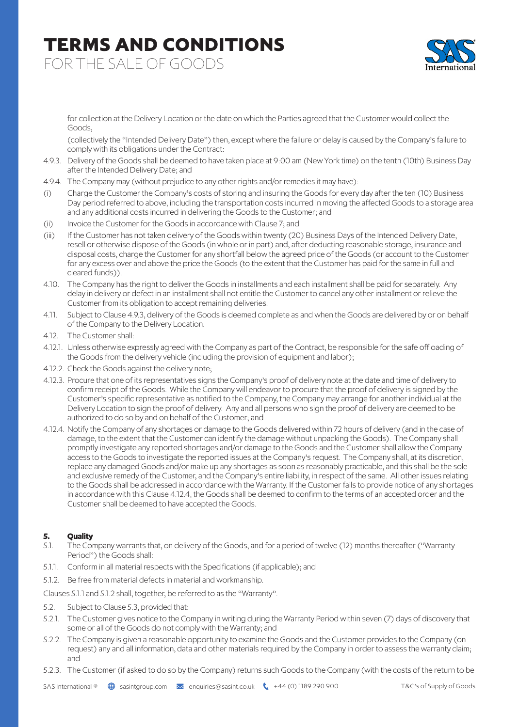FOR THE SALE OF GOODS



for collection at the Delivery Location or the date on which the Parties agreed that the Customer would collect the Goods,

(collectively the "Intended Delivery Date") then, except where the failure or delay is caused by the Company's failure to comply with its obligations under the Contract:

- 4.9.3. Delivery of the Goods shall be deemed to have taken place at 9:00 am (New York time) on the tenth (10th) Business Day after the Intended Delivery Date; and
- 4.9.4. The Company may (without prejudice to any other rights and/or remedies it may have):
- (i) Charge the Customer the Company's costs of storing and insuring the Goods for every day after the ten (10) Business Day period referred to above, including the transportation costs incurred in moving the affected Goods to a storage area and any additional costs incurred in delivering the Goods to the Customer; and
- (ii) Invoice the Customer for the Goods in accordance with Clause 7; and
- (iii) If the Customer has not taken delivery of the Goods within twenty (20) Business Days of the Intended Delivery Date, resell or otherwise dispose of the Goods (in whole or in part) and, after deducting reasonable storage, insurance and disposal costs, charge the Customer for any shortfall below the agreed price of the Goods (or account to the Customer for any excess over and above the price the Goods (to the extent that the Customer has paid for the same in full and cleared funds)).
- 4.10. The Company has the right to deliver the Goods in installments and each installment shall be paid for separately. Any delay in delivery or defect in an installment shall not entitle the Customer to cancel any other installment or relieve the Customer from its obligation to accept remaining deliveries.
- 4.11. Subject to Clause 4.9.3, delivery of the Goods is deemed complete as and when the Goods are delivered by or on behalf of the Company to the Delivery Location.
- 4.12. The Customer shall:
- 4.12.1. Unless otherwise expressly agreed with the Company as part of the Contract, be responsible for the safe offloading of the Goods from the delivery vehicle (including the provision of equipment and labor);
- 4.12.2. Check the Goods against the delivery note;
- 4.12.3. Procure that one of its representatives signs the Company's proof of delivery note at the date and time of delivery to confirm receipt of the Goods. While the Company will endeavor to procure that the proof of delivery is signed by the Customer's specific representative as notified to the Company, the Company may arrange for another individual at the Delivery Location to sign the proof of delivery. Any and all persons who sign the proof of delivery are deemed to be authorized to do so by and on behalf of the Customer; and
- 4.12.4. Notify the Company of any shortages or damage to the Goods delivered within 72 hours of delivery (and in the case of damage, to the extent that the Customer can identify the damage without unpacking the Goods). The Company shall promptly investigate any reported shortages and/or damage to the Goods and the Customer shall allow the Company access to the Goods to investigate the reported issues at the Company's request. The Company shall, at its discretion, replace any damaged Goods and/or make up any shortages as soon as reasonably practicable, and this shall be the sole and exclusive remedy of the Customer, and the Company's entire liability, in respect of the same. All other issues relating to the Goods shall be addressed in accordance with the Warranty. If the Customer fails to provide notice of any shortages in accordance with this Clause 4.12.4, the Goods shall be deemed to confirm to the terms of an accepted order and the Customer shall be deemed to have accepted the Goods.

#### **5. Quality**

- 5.1. The Company warrants that, on delivery of the Goods, and for a period of twelve (12) months thereafter ("Warranty Period") the Goods shall:
- 5.1.1. Conform in all material respects with the Specifications (if applicable); and
- 5.1.2. Be free from material defects in material and workmanship.

Clauses 5.1.1 and 5.1.2 shall, together, be referred to as the "Warranty".

- 5.2. Subject to Clause 5.3, provided that:
- 5.2.1. The Customer gives notice to the Company in writing during the Warranty Period within seven (7) days of discovery that some or all of the Goods do not comply with the Warranty; and
- 5.2.2. The Company is given a reasonable opportunity to examine the Goods and the Customer provides to the Company (on request) any and all information, data and other materials required by the Company in order to assess the warranty claim; and
- 5.2.3. The Customer (if asked to do so by the Company) returns such Goods to the Company (with the costs of the return to be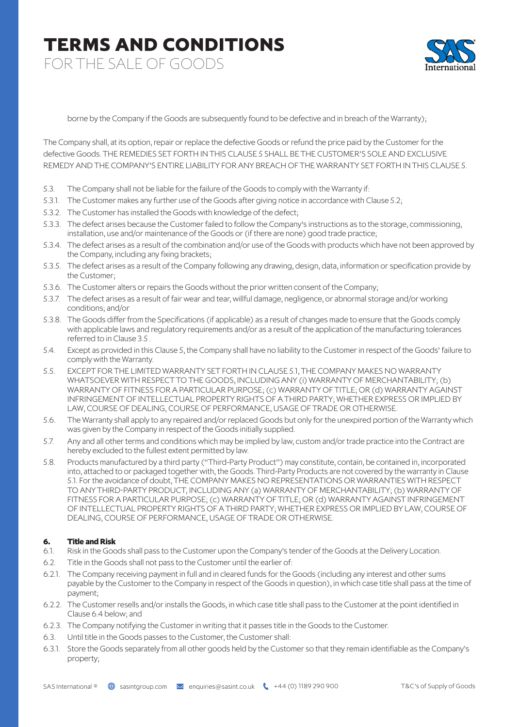FOR THE SALE OF GOODS



borne by the Company if the Goods are subsequently found to be defective and in breach of the Warranty);

The Company shall, at its option, repair or replace the defective Goods or refund the price paid by the Customer for the defective Goods. THE REMEDIES SET FORTH IN THIS CLAUSE 5 SHALL BE THE CUSTOMER'S SOLE AND EXCLUSIVE REMEDY AND THE COMPANY'S ENTIRE LIABILITY FOR ANY BREACH OF THE WARRANTY SET FORTH IN THIS CLAUSE 5.

- 5.3. The Company shall not be liable for the failure of the Goods to comply with the Warranty if:
- 5.3.1. The Customer makes any further use of the Goods after giving notice in accordance with Clause 5.2;
- 5.3.2. The Customer has installed the Goods with knowledge of the defect;
- 5.3.3. The defect arises because the Customer failed to follow the Company's instructions as to the storage, commissioning, installation, use and/or maintenance of the Goods or (if there are none) good trade practice;
- 5.3.4. The defect arises as a result of the combination and/or use of the Goods with products which have not been approved by the Company, including any fixing brackets;
- 5.3.5. The defect arises as a result of the Company following any drawing, design, data, information or specification provide by the Customer;
- 5.3.6. The Customer alters or repairs the Goods without the prior written consent of the Company;
- 5.3.7. The defect arises as a result of fair wear and tear, willful damage, negligence, or abnormal storage and/or working conditions; and/or
- 5.3.8. The Goods differ from the Specifications (if applicable) as a result of changes made to ensure that the Goods comply with applicable laws and regulatory requirements and/or as a result of the application of the manufacturing tolerances referred to in Clause 3.5
- 5.4. Except as provided in this Clause 5, the Company shall have no liability to the Customer in respect of the Goods' failure to comply with the Warranty.
- 5.5. EXCEPT FOR THE LIMITED WARRANTY SET FORTH IN CLAUSE 5.1, THE COMPANY MAKES NO WARRANTY WHATSOEVER WITH RESPECT TO THE GOODS, INCLUDING ANY (i) WARRANTY OF MERCHANTABILITY; (b) WARRANTY OF FITNESS FOR A PARTICULAR PURPOSE; (c) WARRANTY OF TITLE; OR (d) WARRANTY AGAINST INFRINGEMENT OF INTELLECTUAL PROPERTY RIGHTS OF A THIRD PARTY; WHETHER EXPRESS OR IMPLIED BY LAW, COURSE OF DEALING, COURSE OF PERFORMANCE, USAGE OF TRADE OR OTHERWISE.
- 5.6. The Warranty shall apply to any repaired and/or replaced Goods but only for the unexpired portion of the Warranty which was given by the Company in respect of the Goods initially supplied.
- 5.7. Any and all other terms and conditions which may be implied by law, custom and/or trade practice into the Contract are hereby excluded to the fullest extent permitted by law.
- 5.8. Products manufactured by a third party ("Third-Party Product") may constitute, contain, be contained in, incorporated into, attached to or packaged together with, the Goods. Third-Party Products are not covered by the warranty in Clause 5.1. For the avoidance of doubt, THE COMPANY MAKES NO REPRESENTATIONS OR WARRANTIES WITH RESPECT TO ANY THIRD-PARTY PRODUCT, INCLUDING ANY (a) WARRANTY OF MERCHANTABILITY; (b) WARRANTY OF FITNESS FOR A PARTICULAR PURPOSE; (c) WARRANTY OF TITLE; OR (d) WARRANTY AGAINST INFRINGEMENT OF INTELLECTUAL PROPERTY RIGHTS OF A THIRD PARTY; WHETHER EXPRESS OR IMPLIED BY LAW, COURSE OF DEALING, COURSE OF PERFORMANCE, USAGE OF TRADE OR OTHERWISE.

#### **6. Title and Risk**

- 6.1. Risk in the Goods shall pass to the Customer upon the Company's tender of the Goods at the Delivery Location.
- 6.2. Title in the Goods shall not pass to the Customer until the earlier of:
- 6.2.1. The Company receiving payment in full and in cleared funds for the Goods (including any interest and other sums payable by the Customer to the Company in respect of the Goods in question), in which case title shall pass at the time of payment;
- 6.2.2. The Customer resells and/or installs the Goods, in which case title shall pass to the Customer at the point identified in Clause 6.4 below; and
- 6.2.3. The Company notifying the Customer in writing that it passes title in the Goods to the Customer.
- 6.3. Until title in the Goods passes to the Customer, the Customer shall:
- 6.3.1. Store the Goods separately from all other goods held by the Customer so that they remain identifiable as the Company's property;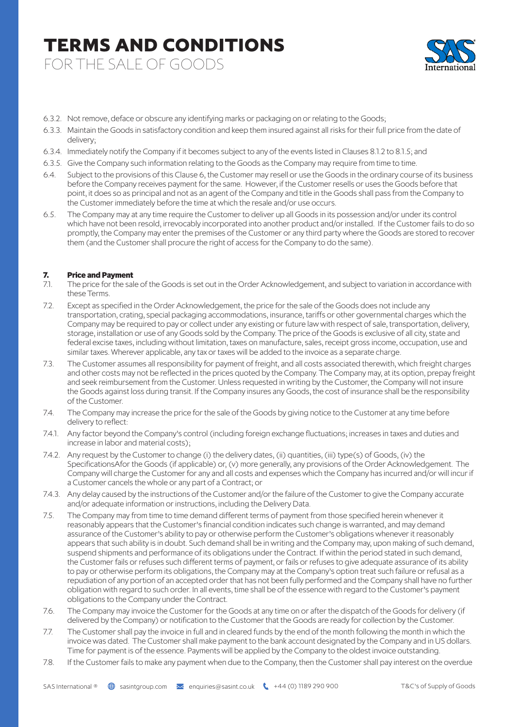FOR THE SALE OF GOODS



- 6.3.2. Not remove, deface or obscure any identifying marks or packaging on or relating to the Goods;
- 6.3.3. Maintain the Goods in satisfactory condition and keep them insured against all risks for their full price from the date of delivery;
- 6.3.4. Immediately notify the Company if it becomes subject to any of the events listed in Clauses 8.1.2 to 8.1.5; and
- 6.3.5. Give the Company such information relating to the Goods as the Company may require from time to time.
- 6.4. Subject to the provisions of this Clause 6, the Customer may resell or use the Goods in the ordinary course of its business before the Company receives payment for the same. However, if the Customer resells or uses the Goods before that point, it does so as principal and not as an agent of the Company and title in the Goods shall pass from the Company to the Customer immediately before the time at which the resale and/or use occurs.
- 6.5. The Company may at any time require the Customer to deliver up all Goods in its possession and/or under its control which have not been resold, irrevocably incorporated into another product and/or installed. If the Customer fails to do so promptly, the Company may enter the premises of the Customer or any third party where the Goods are stored to recover them (and the Customer shall procure the right of access for the Company to do the same).

#### **7. Price and Payment**

- 7.1. The price for the sale of the Goods is set out in the Order Acknowledgement, and subject to variation in accordance with these Terms.
- 7.2. Except as specified in the Order Acknowledgement, the price for the sale of the Goods does not include any transportation, crating, special packaging accommodations, insurance, tariffs or other governmental charges which the Company may be required to pay or collect under any existing or future law with respect of sale, transportation, delivery, storage, installation or use of any Goods sold by the Company. The price of the Goods is exclusive of all city, state and federal excise taxes, including without limitation, taxes on manufacture, sales, receipt gross income, occupation, use and similar taxes. Wherever applicable, any tax or taxes will be added to the invoice as a separate charge.
- 7.3. The Customer assumes all responsibility for payment of freight, and all costs associated therewith, which freight charges and other costs may not be reflected in the prices quoted by the Company. The Company may, at its option, prepay freight and seek reimbursement from the Customer. Unless requested in writing by the Customer, the Company will not insure the Goods against loss during transit. If the Company insures any Goods, the cost of insurance shall be the responsibility of the Customer.
- 7.4. The Company may increase the price for the sale of the Goods by giving notice to the Customer at any time before delivery to reflect:
- 7.4.1. Any factor beyond the Company's control (including foreign exchange fluctuations; increases in taxes and duties and increase in labor and material costs);
- 7.4.2. Any request by the Customer to change (i) the delivery dates, (ii) quantities, (iii) type(s) of Goods, (iv) the SpecificationsAfor the Goods (if applicable) or, (v) more generally, any provisions of the Order Acknowledgement. The Company will charge the Customer for any and all costs and expenses which the Company has incurred and/or will incur if a Customer cancels the whole or any part of a Contract; or
- 7.4.3. Any delay caused by the instructions of the Customer and/or the failure of the Customer to give the Company accurate and/or adequate information or instructions, including the Delivery Data.
- 7.5. The Company may from time to time demand different terms of payment from those specified herein whenever it reasonably appears that the Customer's financial condition indicates such change is warranted, and may demand assurance of the Customer's ability to pay or otherwise perform the Customer's obligations whenever it reasonably appears that such ability is in doubt. Such demand shall be in writing and the Company may, upon making of such demand, suspend shipments and performance of its obligations under the Contract. If within the period stated in such demand, the Customer fails or refuses such different terms of payment, or fails or refuses to give adequate assurance of its ability to pay or otherwise perform its obligations, the Company may at the Company's option treat such failure or refusal as a repudiation of any portion of an accepted order that has not been fully performed and the Company shall have no further obligation with regard to such order. In all events, time shall be of the essence with regard to the Customer's payment obligations to the Company under the Contract.
- 7.6. The Company may invoice the Customer for the Goods at any time on or after the dispatch of the Goods for delivery (if delivered by the Company) or notification to the Customer that the Goods are ready for collection by the Customer.
- 7.7. The Customer shall pay the invoice in full and in cleared funds by the end of the month following the month in which the invoice was dated. The Customer shall make payment to the bank account designated by the Company and in US dollars. Time for payment is of the essence. Payments will be applied by the Company to the oldest invoice outstanding.
- 7.8. If the Customer fails to make any payment when due to the Company, then the Customer shall pay interest on the overdue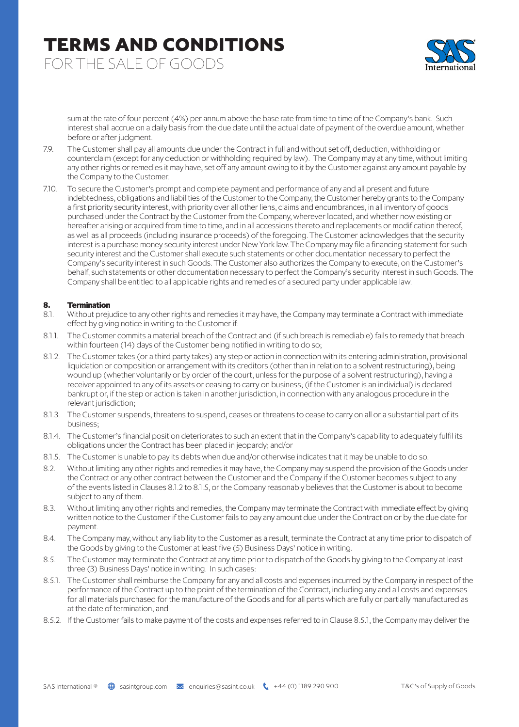FOR THE SALE OF GOODS



sum at the rate of four percent (4%) per annum above the base rate from time to time of the Company's bank. Such interest shall accrue on a daily basis from the due date until the actual date of payment of the overdue amount, whether before or after judgment.

- 7.9. The Customer shall pay all amounts due under the Contract in full and without set off, deduction, withholding or counterclaim (except for any deduction or withholding required by law). The Company may at any time, without limiting any other rights or remedies it may have, set off any amount owing to it by the Customer against any amount payable by the Company to the Customer.
- 7.10. To secure the Customer's prompt and complete payment and performance of any and all present and future indebtedness, obligations and liabilities of the Customer to the Company, the Customer hereby grants to the Company a first priority security interest, with priority over all other liens, claims and encumbrances, in all inventory of goods purchased under the Contract by the Customer from the Company, wherever located, and whether now existing or hereafter arising or acquired from time to time, and in all accessions thereto and replacements or modification thereof, as well as all proceeds (including insurance proceeds) of the foregoing. The Customer acknowledges that the security interest is a purchase money security interest under New York law. The Company may file a financing statement for such security interest and the Customer shall execute such statements or other documentation necessary to perfect the Company's security interest in such Goods. The Customer also authorizes the Company to execute, on the Customer's behalf, such statements or other documentation necessary to perfect the Company's security interest in such Goods. The Company shall be entitled to all applicable rights and remedies of a secured party under applicable law.

#### **8. Termination**

- 8.1. Without prejudice to any other rights and remedies it may have, the Company may terminate a Contract with immediate effect by giving notice in writing to the Customer if:
- 8.1.1. The Customer commits a material breach of the Contract and (if such breach is remediable) fails to remedy that breach within fourteen (14) days of the Customer being notified in writing to do so;
- 8.1.2. The Customer takes (or a third party takes) any step or action in connection with its entering administration, provisional liquidation or composition or arrangement with its creditors (other than in relation to a solvent restructuring), being wound up (whether voluntarily or by order of the court, unless for the purpose of a solvent restructuring), having a receiver appointed to any of its assets or ceasing to carry on business; (if the Customer is an individual) is declared bankrupt or, if the step or action is taken in another jurisdiction, in connection with any analogous procedure in the relevant jurisdiction;
- 8.1.3. The Customer suspends, threatens to suspend, ceases or threatens to cease to carry on all or a substantial part of its business;
- 8.1.4. The Customer's financial position deteriorates to such an extent that in the Company's capability to adequately fulfil its obligations under the Contract has been placed in jeopardy; and/or
- 8.1.5. The Customer is unable to pay its debts when due and/or otherwise indicates that it may be unable to do so.
- 8.2. Without limiting any other rights and remedies it may have, the Company may suspend the provision of the Goods under the Contract or any other contract between the Customer and the Company if the Customer becomes subject to any of the events listed in Clauses 8.1.2 to 8.1.5, or the Company reasonably believes that the Customer is about to become subject to any of them.
- 8.3. Without limiting any other rights and remedies, the Company may terminate the Contract with immediate effect by giving written notice to the Customer if the Customer fails to pay any amount due under the Contract on or by the due date for payment.
- 8.4. The Company may, without any liability to the Customer as a result, terminate the Contract at any time prior to dispatch of the Goods by giving to the Customer at least five (5) Business Days' notice in writing.
- 8.5. The Customer may terminate the Contract at any time prior to dispatch of the Goods by giving to the Company at least three (3) Business Days' notice in writing. In such cases:
- 8.5.1. The Customer shall reimburse the Company for any and all costs and expenses incurred by the Company in respect of the performance of the Contract up to the point of the termination of the Contract, including any and all costs and expenses for all materials purchased for the manufacture of the Goods and for all parts which are fully or partially manufactured as at the date of termination; and
- 8.5.2. If the Customer fails to make payment of the costs and expenses referred to in Clause 8.5.1, the Company may deliver the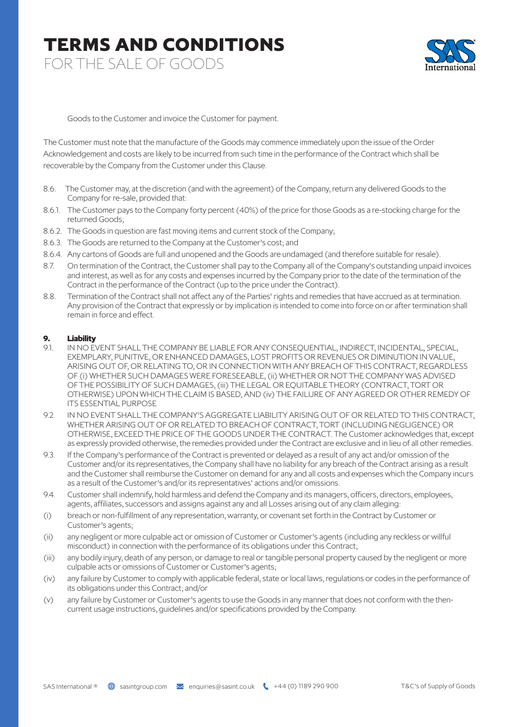FOR THE SALE OF GOODS



Goods to the Customer and invoice the Customer for payment.

The Customer must note that the manufacture of the Goods may commence immediately upon the issue of the Order Acknowledgement and costs are likely to be incurred from such time in the performance of the Contract which shall be recoverable by the Company from the Customer under this Clause.

- 8.6. The Customer may, at the discretion (and with the agreement) of the Company, return any delivered Goods to the Company for re-sale, provided that:
- 8.6.1. The Customer pays to the Company forty percent (40%) of the price for those Goods as a re-stocking charge for the returned Goods;
- 8.6.2. The Goods in question are fast moving items and current stock of the Company;
- 8.6.3. The Goods are returned to the Company at the Customer's cost; and
- 8.6.4. Any cartons of Goods are full and unopened and the Goods are undamaged (and therefore suitable for resale).
- 8.7. On termination of the Contract, the Customer shall pay to the Company all of the Company's outstanding unpaid invoices and interest, as well as for any costs and expenses incurred by the Company prior to the date of the termination of the Contract in the performance of the Contract (up to the price under the Contract).
- 8.8. Termination of the Contract shall not affect any of the Parties' rights and remedies that have accrued as at termination. Any provision of the Contract that expressly or by implication is intended to come into force on or after termination shall remain in force and effect.

#### **9. Liability**

- 9.1. IN NO EVENT SHALL THE COMPANY BE LIABLE FOR ANY CONSEQUENTIAL, INDIRECT, INCIDENTAL, SPECIAL, EXEMPLARY, PUNITIVE, OR ENHANCED DAMAGES, LOST PROFITS OR REVENUES OR DIMINUTION IN VALUE, ARISING OUT OF, OR RELATING TO, OR IN CONNECTION WITH ANY BREACH OF THIS CONTRACT, REGARDLESS OF (i) WHETHER SUCH DAMAGES WERE FORESEEABLE, (ii) WHETHER OR NOT THE COMPANY WAS ADVISED OF THE POSSIBILITY OF SUCH DAMAGES, (iii) THE LEGAL OR EQUITABLE THEORY (CONTRACT, TORT OR OTHERWISE) UPON WHICH THE CLAIM IS BASED, AND (iv) THE FAILURE OF ANY AGREED OR OTHER REMEDY OF ITS ESSENTIAL PURPOSE
- 9.2. IN NO EVENT SHALL THE COMPANY'S AGGREGATE LIABILITY ARISING OUT OF OR RELATED TO THIS CONTRACT, WHETHER ARISING OUT OF OR RELATED TO BREACH OF CONTRACT, TORT (INCLUDING NEGLIGENCE) OR OTHERWISE, EXCEED THE PRICE OF THE GOODS UNDER THE CONTRACT. The Customer acknowledges that, except as expressly provided otherwise, the remedies provided under the Contract are exclusive and in lieu of all other remedies.
- 9.3. If the Company's performance of the Contract is prevented or delayed as a result of any act and/or omission of the Customer and/or its representatives, the Company shall have no liability for any breach of the Contract arising as a result and the Customer shall reimburse the Customer on demand for any and all costs and expenses which the Company incurs as a result of the Customer's and/or its representatives' actions and/or omissions.
- 9.4. Customer shall indemnify, hold harmless and defend the Company and its managers, officers, directors, employees, agents, affiliates, successors and assigns against any and all Losses arising out of any claim alleging:
- (i) breach or non-fulfillment of any representation, warranty, or covenant set forth in the Contract by Customer or Customer's agents;
- (ii) any negligent or more culpable act or omission of Customer or Customer's agents (including any reckless or willful misconduct) in connection with the performance of its obligations under this Contract;
- (iii) any bodily injury, death of any person, or damage to real or tangible personal property caused by the negligent or more culpable acts or omissions of Customer or Customer's agents;
- (iv) any failure by Customer to comply with applicable federal, state or local laws, regulations or codes in the performance of its obligations under this Contract; and/or
- (v) any failure by Customer or Customer's agents to use the Goods in any manner that does not conform with the thencurrent usage instructions, guidelines and/or specifications provided by the Company.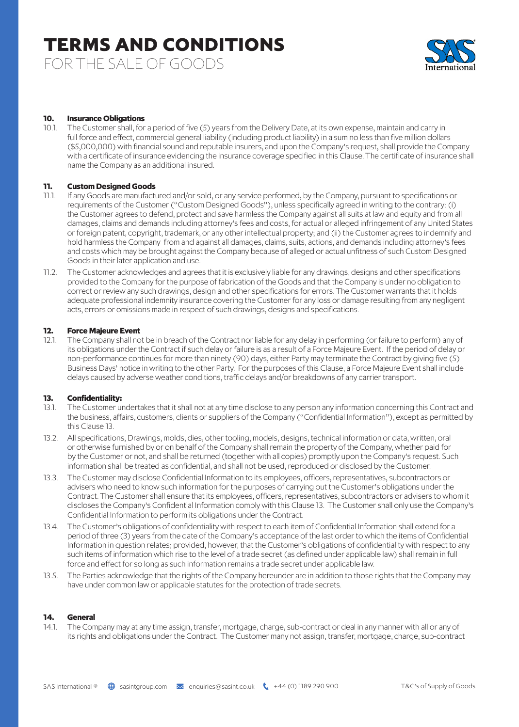FOR THE SALE OF GOODS



#### **10. Insurance Obligations**

10.1. The Customer shall, for a period of five (5) years from the Delivery Date, at its own expense, maintain and carry in full force and effect, commercial general liability (including product liability) in a sum no less than five million dollars (\$5,000,000) with financial sound and reputable insurers, and upon the Company's request, shall provide the Company with a certificate of insurance evidencing the insurance coverage specified in this Clause. The certificate of insurance shall name the Company as an additional insured.

#### **11. Custom Designed Goods**

- 11.1. If any Goods are manufactured and/or sold, or any service performed, by the Company, pursuant to specifications or requirements of the Customer ("Custom Designed Goods"), unless specifically agreed in writing to the contrary: (i) the Customer agrees to defend, protect and save harmless the Company against all suits at law and equity and from all damages, claims and demands including attorney's fees and costs, for actual or alleged infringement of any United States or foreign patent, copyright, trademark, or any other intellectual property; and (ii) the Customer agrees to indemnify and hold harmless the Company from and against all damages, claims, suits, actions, and demands including attorney's fees and costs which may be brought against the Company because of alleged or actual unfitness of such Custom Designed Goods in their later application and use.
- 11.2. The Customer acknowledges and agrees that it is exclusively liable for any drawings, designs and other specifications provided to the Company for the purpose of fabrication of the Goods and that the Company is under no obligation to correct or review any such drawings, design and other specifications for errors. The Customer warrants that it holds adequate professional indemnity insurance covering the Customer for any loss or damage resulting from any negligent acts, errors or omissions made in respect of such drawings, designs and specifications.

#### **12. Force Majeure Event**

12.1. The Company shall not be in breach of the Contract nor liable for any delay in performing (or failure to perform) any of its obligations under the Contract if such delay or failure is as a result of a Force Majeure Event. If the period of delay or non-performance continues for more than ninety (90) days, either Party may terminate the Contract by giving five (5) Business Days' notice in writing to the other Party. For the purposes of this Clause, a Force Majeure Event shall include delays caused by adverse weather conditions, traffic delays and/or breakdowns of any carrier transport.

#### **13. Confidentiality:**

- 13.1. The Customer undertakes that it shall not at any time disclose to any person any information concerning this Contract and the business, affairs, customers, clients or suppliers of the Company ("Confidential Information"), except as permitted by this Clause 13.
- 13.2. All specifications, Drawings, molds, dies, other tooling, models, designs, technical information or data, written, oral or otherwise furnished by or on behalf of the Company shall remain the property of the Company, whether paid for by the Customer or not, and shall be returned (together with all copies) promptly upon the Company's request. Such information shall be treated as confidential, and shall not be used, reproduced or disclosed by the Customer.
- 13.3. The Customer may disclose Confidential Information to its employees, officers, representatives, subcontractors or advisers who need to know such information for the purposes of carrying out the Customer's obligations under the Contract. The Customer shall ensure that its employees, officers, representatives, subcontractors or advisers to whom it discloses the Company's Confidential Information comply with this Clause 13. The Customer shall only use the Company's Confidential Information to perform its obligations under the Contract.
- 13.4. The Customer's obligations of confidentiality with respect to each item of Confidential Information shall extend for a period of three (3) years from the date of the Company's acceptance of the last order to which the items of Confidential Information in question relates; provided, however, that the Customer's obligations of confidentiality with respect to any such items of information which rise to the level of a trade secret (as defined under applicable law) shall remain in full force and effect for so long as such information remains a trade secret under applicable law.
- 13.5. The Parties acknowledge that the rights of the Company hereunder are in addition to those rights that the Company may have under common law or applicable statutes for the protection of trade secrets.

#### **14. General**

14.1. The Company may at any time assign, transfer, mortgage, charge, sub-contract or deal in any manner with all or any of its rights and obligations under the Contract. The Customer many not assign, transfer, mortgage, charge, sub-contract